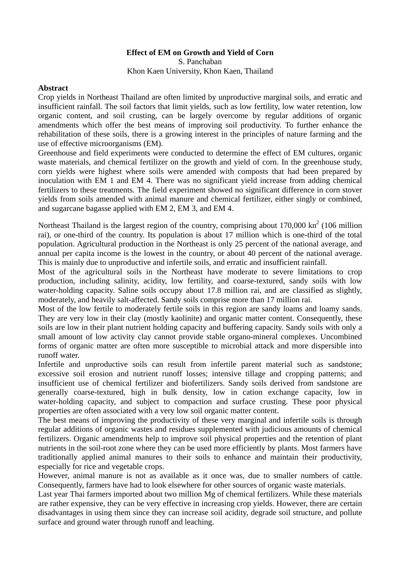# **Effect of EM on Growth and Yield of Corn**

S. Panchaban Khon Kaen University, Khon Kaen, Thailand

### **Abstract**

Crop yields in Northeast Thailand are often limited by unproductive marginal soils, and erratic and insufficient rainfall. The soil factors that limit yields, such as low fertility, low water retention, low organic content, and soil crusting, can be largely overcome by regular additions of organic amendments which offer the best means of improving soil productivity. To further enhance the rehabilitation of these soils, there is a growing interest in the principles of nature farming and the use of effective microorganisms (EM).

Greenhouse and field experiments were conducted to determine the effect of EM cultures, organic waste materials, and chemical fertilizer on the growth and yield of corn. In the greenhouse study, corn yields were highest where soils were amended with composts that had been prepared by inoculation with EM 1 and EM 4. There was no significant yield increase from adding chemical fertilizers to these treatments. The field experiment showed no significant difference in corn stover yields from soils amended with animal manure and chemical fertilizer, either singly or combined, and sugarcane bagasse applied with EM 2, EM 3, and EM 4.

Northeast Thailand is the largest region of the country, comprising about  $170,000 \text{ km}^2$  (106 million rai), or one-third of the country. Its population is about 17 million which is one-third of the total population. Agricultural production in the Northeast is only 25 percent of the national average, and annual per capita income is the lowest in the country, or about 40 percent of the national average. This is mainly due to unproductive and infertile soils, and erratic and insufficient rainfall.

Most of the agricultural soils in the Northeast have moderate to severe limitations to crop production, including salinity, acidity, low fertility, and coarse-textured, sandy soils with low water-holding capacity. Saline soils occupy about 17.8 million rai, and are classified as slightly, moderately, and heavily salt-affected. Sandy soils comprise more than 17 million rai.

Most of the low fertile to moderately fertile soils in this region are sandy loams and loamy sands. They are very low in their clay (mostly kaolinite) and organic matter content. Consequently, these soils are low in their plant nutrient holding capacity and buffering capacity. Sandy soils with only a small amount of low activity clay cannot provide stable organo-mineral complexes. Uncombined forms of organic matter are often more susceptible to microbial attack and more dispersible into runoff water.

Infertile and unproductive soils can result from infertile parent material such as sandstone; excessive soil erosion and nutrient runoff losses; intensive tillage and cropping patterns; and insufficient use of chemical fertilizer and biofertilizers. Sandy soils derived from sandstone are generally coarse-textured, high in bulk density, low in cation exchange capacity, low in water-holding capacity, and subject to compaction and surface crusting. These poor physical properties are often associated with a very low soil organic matter content.

The best means of improving the productivity of these very marginal and infertile soils is through regular additions of organic wastes and residues supplemented with judicious amounts of chemical fertilizers. Organic amendments help to improve soil physical properties and the retention of plant nutrients in the soil-root zone where they can be used more efficiently by plants. Most farmers have traditionally applied animal manures to their soils to enhance and maintain their productivity, especially for rice and vegetable crops.

However, animal manure is not as available as it once was, due to smaller numbers of cattle. Consequently, farmers have had to look elsewhere for other sources of organic waste materials.

Last year Thai farmers imported about two million Mg of chemical fertilizers. While these materials are rather expensive, they can be very effective in increasing crop yields. However, there are certain disadvantages in using them since they can increase soil acidity, degrade soil structure, and pollute surface and ground water through runoff and leaching.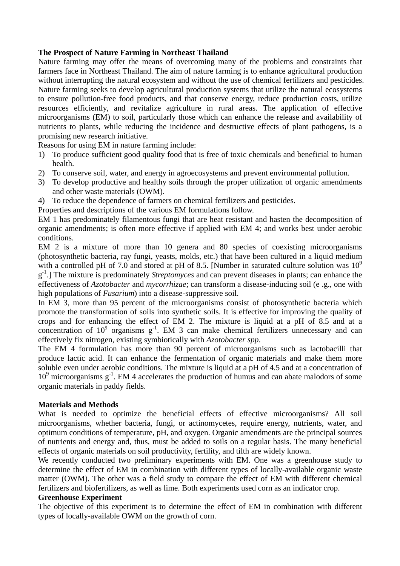# **The Prospect of Nature Farming in Northeast Thailand**

Nature farming may offer the means of overcoming many of the problems and constraints that farmers face in Northeast Thailand. The aim of nature farming is to enhance agricultural production without interrupting the natural ecosystem and without the use of chemical fertilizers and pesticides. Nature farming seeks to develop agricultural production systems that utilize the natural ecosystems to ensure pollution-free food products, and that conserve energy, reduce production costs, utilize resources efficiently, and revitalize agriculture in rural areas. The application of effective microorganisms (EM) to soil, particularly those which can enhance the release and availability of nutrients to plants, while reducing the incidence and destructive effects of plant pathogens, is a promising new research initiative.

Reasons for using EM in nature farming include:

- 1) To produce sufficient good quality food that is free of toxic chemicals and beneficial to human health.
- 2) To conserve soil, water, and energy in agroecosystems and prevent environmental pollution.
- 3) To develop productive and healthy soils through the proper utilization of organic amendments and other waste materials (OWM).
- 4) To reduce the dependence of farmers on chemical fertilizers and pesticides.
- Properties and descriptions of the various EM formulations follow.

EM 1 has predominately filamentous fungi that are heat resistant and hasten the decomposition of organic amendments; is often more effective if applied with EM 4; and works best under aerobic conditions.

EM 2 is a mixture of more than 10 genera and 80 species of coexisting microorganisms (photosynthetic bacteria, ray fungi, yeasts, molds, etc.) that have been cultured in a liquid medium with a controlled pH of 7.0 and stored at pH of 8.5. [Number in saturated culture solution was  $10^9$ g -1.] The mixture is predominately *Streptomyces* and can prevent diseases in plants; can enhance the effectiveness of *Azotobacter* and *mycorrhizae*; can transform a disease-inducing soil (e .g., one with high populations of *Fusarium*) into a disease-suppressive soil.

In EM 3, more than 95 percent of the microorganisms consist of photosynthetic bacteria which promote the transformation of soils into synthetic soils. It is effective for improving the quality of crops and for enhancing the effect of EM 2. The mixture is liquid at a pH of 8.5 and at a concentration of  $10^9$  organisms  $g^{-1}$ . EM 3 can make chemical fertilizers unnecessary and can effectively fix nitrogen, existing symbiotically with *Azotobacter spp*.

The EM 4 formulation has more than 90 percent of microorganisms such as lactobacilli that produce lactic acid. It can enhance the fermentation of organic materials and make them more soluble even under aerobic conditions. The mixture is liquid at a pH of 4.5 and at a concentration of 10<sup>9</sup> microorganisms g<sup>-1</sup>. EM 4 accelerates the production of humus and can abate malodors of some organic materials in paddy fields.

## **Materials and Methods**

What is needed to optimize the beneficial effects of effective microorganisms? All soil microorganisms, whether bacteria, fungi, or actinomycetes, require energy, nutrients, water, and optimum conditions of temperature, pH, and oxygen. Organic amendments are the principal sources of nutrients and energy and, thus, must be added to soils on a regular basis. The many beneficial effects of organic materials on soil productivity, fertility, and tilth are widely known.

We recently conducted two preliminary experiments with EM. One was a greenhouse study to determine the effect of EM in combination with different types of locally-available organic waste matter (OWM). The other was a field study to compare the effect of EM with different chemical fertilizers and biofertilizers, as well as lime. Both experiments used corn as an indicator crop.

## **Greenhouse Experiment**

The objective of this experiment is to determine the effect of EM in combination with different types of locally-available OWM on the growth of corn.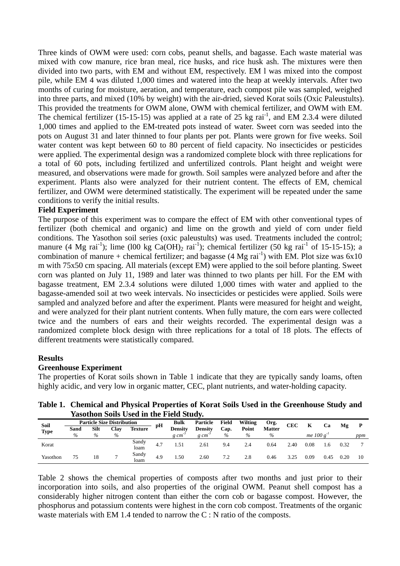Three kinds of OWM were used: corn cobs, peanut shells, and bagasse. Each waste material was mixed with cow manure, rice bran meal, rice husks, and rice husk ash. The mixtures were then divided into two parts, with EM and without EM, respectively. EM l was mixed into the compost pile, while EM 4 was diluted 1,000 times and watered into the heap at weekly intervals. After two months of curing for moisture, aeration, and temperature, each compost pile was sampled, weighed into three parts, and mixed (10% by weight) with the air-dried, sieved Korat soils (Oxic Paleustults). This provided the treatments for OWM alone, OWM with chemical fertilizer, and OWM with EM. The chemical fertilizer (15-15-15) was applied at a rate of 25 kg rai<sup>-1</sup>, and EM 2.3.4 were diluted 1,000 times and applied to the EM-treated pots instead of water. Sweet corn was seeded into the pots on August 31 and later thinned to four plants per pot. Plants were grown for five weeks. Soil water content was kept between 60 to 80 percent of field capacity. No insecticides or pesticides were applied. The experimental design was a randomized complete block with three replications for a total of 60 pots, including fertilized and unfertilized controls. Plant height and weight were measured, and observations were made for growth. Soil samples were analyzed before and after the experiment. Plants also were analyzed for their nutrient content. The effects of EM, chemical fertilizer, and OWM were determined statistically. The experiment will be repeated under the same conditions to verify the initial results.

### **Field Experiment**

The purpose of this experiment was to compare the effect of EM with other conventional types of fertilizer (both chemical and organic) and lime on the growth and yield of corn under field conditions. The Yasothon soil series (oxic paleustults) was used. Treatments included the control; manure (4 Mg rai<sup>-1</sup>); lime (l00 kg Ca(OH)<sub>2</sub> rai<sup>-1</sup>); chemical fertilizer (50 kg rai<sup>-1</sup> of 15-15-15); a combination of manure + chemical fertilizer; and bagasse (4 Mg rai<sup>-1</sup>) with EM. Plot size was 6x10 m with 75x50 cm spacing. All materials (except EM) were applied to the soil before planting. Sweet corn was planted on July 11, 1989 and later was thinned to two plants per hill. For the EM with bagasse treatment, EM 2.3.4 solutions were diluted 1,000 times with water and applied to the bagasse-amended soil at two week intervals. No insecticides or pesticides were applied. Soils were sampled and analyzed before and after the experiment. Plants were measured for height and weight, and were analyzed for their plant nutrient contents. When fully mature, the corn ears were collected twice and the numbers of ears and their weights recorded. The experimental design was a randomized complete block design with three replications for a total of 18 plots. The effects of different treatments were statistically compared.

#### **Results**

#### **Greenhouse Experiment**

The properties of Korat soils shown in Table 1 indicate that they are typically sandy loams, often highly acidic, and very low in organic matter, CEC, plant nutrients, and water-holding capacity.

**Table 1. Chemical and Physical Properties of Korat Soils Used in the Greenhouse Study and Yasothon Soils Used in the Field Study.** 

| Soil        | <b>Particle Size Distribution</b> |      |      | рH             | Bulk | Particle       | Field          | <b>Wilting</b> | Org.  | CEC           |      | Ca           | Мg   |      |     |
|-------------|-----------------------------------|------|------|----------------|------|----------------|----------------|----------------|-------|---------------|------|--------------|------|------|-----|
| <b>Type</b> | Sand                              | Silt | Clav | <b>Texture</b> |      | <b>Density</b> | <b>Density</b> | Cap.           | Point | <b>Matter</b> |      |              |      |      |     |
|             | $\%$                              | $\%$ | $\%$ |                |      | g cm           | $g \, cm$      | $\%$           | $\%$  | $\%$          |      | me $100 g-1$ |      |      | ppm |
| Korat       |                                   |      |      | Sandy<br>loam  | 4.7  | .51            | 2.61           | 9.4            | 2.4   | 0.64          | 2.40 | $_{0.08}$    | .6   | 0.32 |     |
| Yasothon    | 75                                | 18   |      | Sandy<br>loam  | 4.9  | .50            | 2.60           | 7.2            | 2.8   | 0.46          | 3.25 | 0.09         | 0.45 | 0.20 | 10  |

Table 2 shows the chemical properties of composts after two months and just prior to their incorporation into soils, and also properties of the original OWM. Peanut shell compost has a considerably higher nitrogen content than either the corn cob or bagasse compost. However, the phosphorus and potassium contents were highest in the corn cob compost. Treatments of the organic waste materials with EM 1.4 tended to narrow the  $C : N$  ratio of the composts.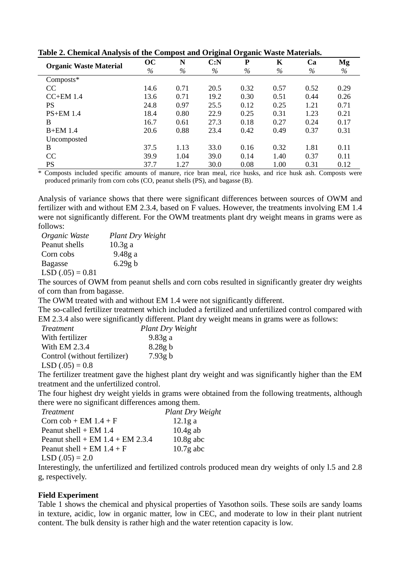|                               |      |      | o    | o         |      |      |      |
|-------------------------------|------|------|------|-----------|------|------|------|
| <b>Organic Waste Material</b> | OC   | N    | C: N | ${\bf P}$ | K    | Ca   | Mg   |
|                               | $\%$ | $\%$ | $\%$ | $\%$      | $\%$ | $\%$ | %    |
| Composts*                     |      |      |      |           |      |      |      |
| CC                            | 14.6 | 0.71 | 20.5 | 0.32      | 0.57 | 0.52 | 0.29 |
| $CC+EM$ 1.4                   | 13.6 | 0.71 | 19.2 | 0.30      | 0.51 | 0.44 | 0.26 |
| <b>PS</b>                     | 24.8 | 0.97 | 25.5 | 0.12      | 0.25 | 1.21 | 0.71 |
| $PS+EM$ 1.4                   | 18.4 | 0.80 | 22.9 | 0.25      | 0.31 | 1.23 | 0.21 |
| B                             | 16.7 | 0.61 | 27.3 | 0.18      | 0.27 | 0.24 | 0.17 |
| <b>B+EM 1.4</b>               | 20.6 | 0.88 | 23.4 | 0.42      | 0.49 | 0.37 | 0.31 |
| Uncomposted                   |      |      |      |           |      |      |      |
| B                             | 37.5 | 1.13 | 33.0 | 0.16      | 0.32 | 1.81 | 0.11 |
| CC                            | 39.9 | 1.04 | 39.0 | 0.14      | 1.40 | 0.37 | 0.11 |
| <b>PS</b>                     | 37.7 | 1.27 | 30.0 | 0.08      | 1.00 | 0.31 | 0.12 |
|                               |      |      |      |           |      |      |      |

**Table 2. Chemical Analysis of the Compost and Original Organic Waste Materials.** 

\* Composts included specific amounts of manure, rice bran meal, rice husks, and rice husk ash. Composts were produced primarily from corn cobs (CO, peanut shells (PS), and bagasse (B).

Analysis of variance shows that there were significant differences between sources of OWM and fertilizer with and without EM 2.3.4, based on F values. However, the treatments involving EM 1.4 were not significantly different. For the OWM treatments plant dry weight means in grams were as follows:

| Organic Waste     | Plant Dry Weight |
|-------------------|------------------|
| Peanut shells     | $10.3g$ a        |
| Corn cobs         | 9.48g a          |
| <b>Bagasse</b>    | 6.29g b          |
| $LSD(.05) = 0.81$ |                  |

The sources of OWM from peanut shells and corn cobs resulted in significantly greater dry weights of corn than from bagasse.

The OWM treated with and without EM 1.4 were not significantly different.

The so-called fertilizer treatment which included a fertilized and unfertilized control compared with EM 2.3.4 also were significantly different. Plant dry weight means in grams were as follows:

| <i>Treatment</i>             | Plant Dry Weight |
|------------------------------|------------------|
| With fertilizer              | 9.83g a          |
| With EM 2.3.4                | 8.28g b          |
| Control (without fertilizer) | 7.93g b          |
| $LSD(.05) = 0.8$             |                  |

The fertilizer treatment gave the highest plant dry weight and was significantly higher than the EM treatment and the unfertilized control.

The four highest dry weight yields in grams were obtained from the following treatments, although there were no significant differences among them.

| <i>Treatment</i>                     | Plant Dry Weight |
|--------------------------------------|------------------|
| Corn $\cosh$ + EM 1.4 + F            | 12.1g a          |
| Peanut shell + $EM$ 1.4              | $10.4g$ ab       |
| Peanut shell + EM $1.4$ + EM $2.3.4$ | $10.8g$ abc      |
| Peanut shell + EM $1.4 + F$          | $10.7g$ abc      |
| $LSD(.05) = 2.0$                     |                  |

Interestingly, the unfertilized and fertilized controls produced mean dry weights of only l.5 and 2.8 g, respectively.

## **Field Experiment**

Table 1 shows the chemical and physical properties of Yasothon soils. These soils are sandy loams in texture, acidic, low in organic matter, low in CEC, and moderate to low in their plant nutrient content. The bulk density is rather high and the water retention capacity is low.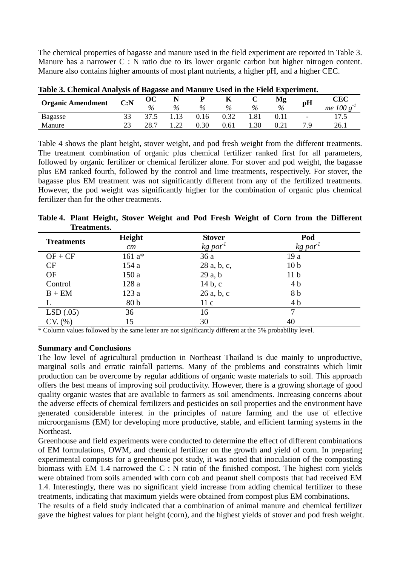The chemical properties of bagasse and manure used in the field experiment are reported in Table 3. Manure has a narrower C : N ratio due to its lower organic carbon but higher nitrogen content. Manure also contains higher amounts of most plant nutrients, a higher pH, and a higher CEC.

| THUIL OF CHUMMULIMINI DID OF DREGODU GMG THGMALU CDUG IN VIIU FIUIG DRIUDUMINI |      |               |      |      |      |      |      |                          |                 |
|--------------------------------------------------------------------------------|------|---------------|------|------|------|------|------|--------------------------|-----------------|
| <b>Organic Amendment</b>                                                       | C: N | ОC            |      |      | ĸ    |      | Mg   | pH                       | CEC             |
|                                                                                |      | $\frac{0}{0}$ | $\%$ | $\%$ | $\%$ | $\%$ | $\%$ |                          | $me$ 100 $\sim$ |
| Bagasse                                                                        |      | 37.5          |      | 0.16 | 0.32 | .81  |      | $\overline{\phantom{a}}$ | $\overline{ }$  |
| Manure                                                                         | ~~   | 28.7          | ⊥ າາ | 0.30 | 0.61 | .30  |      |                          | 26.1            |

**Table 3. Chemical Analysis of Bagasse and Manure Used in the Field Experiment.** 

Table 4 shows the plant height, stover weight, and pod fresh weight from the different treatments. The treatment combination of organic plus chemical fertilizer ranked first for all parameters, followed by organic fertilizer or chemical fertilizer alone. For stover and pod weight, the bagasse plus EM ranked fourth, followed by the control and lime treatments, respectively. For stover, the bagasse plus EM treatment was not significantly different from any of the fertilized treatments. However, the pod weight was significantly higher for the combination of organic plus chemical fertilizer than for the other treatments.

**Table 4. Plant Height, Stover Weight and Pod Fresh Weight of Corn from the Different Treatments.** 

| <b>Treatments</b> | Height          | <b>Stover</b>                      | Pod                                |  |  |  |
|-------------------|-----------------|------------------------------------|------------------------------------|--|--|--|
|                   | cm              | $kg$ pot <sup><math>t</math></sup> | $kg$ pot <sup><math>I</math></sup> |  |  |  |
| $OF + CF$         | $161a*$         | 36a                                | 19a                                |  |  |  |
| CF                | 154a            | 28 a, b, c,                        | 10 <sub>b</sub>                    |  |  |  |
| <b>OF</b>         | 150a            | 29a, b                             | 11 <sub>b</sub>                    |  |  |  |
| Control           | 128 a           | 14 b, c                            | 4 <sub>b</sub>                     |  |  |  |
| $B + EM$          | 123a            | 26a, b, c                          | 8 b                                |  |  |  |
|                   | 80 <sub>b</sub> | 11c                                | 4 b                                |  |  |  |
| LSD(.05)          | 36              | 16                                 |                                    |  |  |  |
| $CV.$ $%$         | 15              | 30                                 | 40                                 |  |  |  |

\* Column values followed by the same letter are not significantly different at the 5% probability level.

## **Summary and Conclusions**

The low level of agricultural production in Northeast Thailand is due mainly to unproductive, marginal soils and erratic rainfall patterns. Many of the problems and constraints which limit production can be overcome by regular additions of organic waste materials to soil. This approach offers the best means of improving soil productivity. However, there is a growing shortage of good quality organic wastes that are available to farmers as soil amendments. Increasing concerns about the adverse effects of chemical fertilizers and pesticides on soil properties and the environment have generated considerable interest in the principles of nature farming and the use of effective microorganisms (EM) for developing more productive, stable, and efficient farming systems in the Northeast.

Greenhouse and field experiments were conducted to determine the effect of different combinations of EM formulations, OWM, and chemical fertilizer on the growth and yield of corn. In preparing experimental composts for a greenhouse pot study, it was noted that inoculation of the composting biomass with EM 1.4 narrowed the C : N ratio of the finished compost. The highest corn yields were obtained from soils amended with corn cob and peanut shell composts that had received EM 1.4. Interestingly, there was no significant yield increase from adding chemical fertilizer to these treatments, indicating that maximum yields were obtained from compost plus EM combinations.

The results of a field study indicated that a combination of animal manure and chemical fertilizer gave the highest values for plant height (corn), and the highest yields of stover and pod fresh weight.